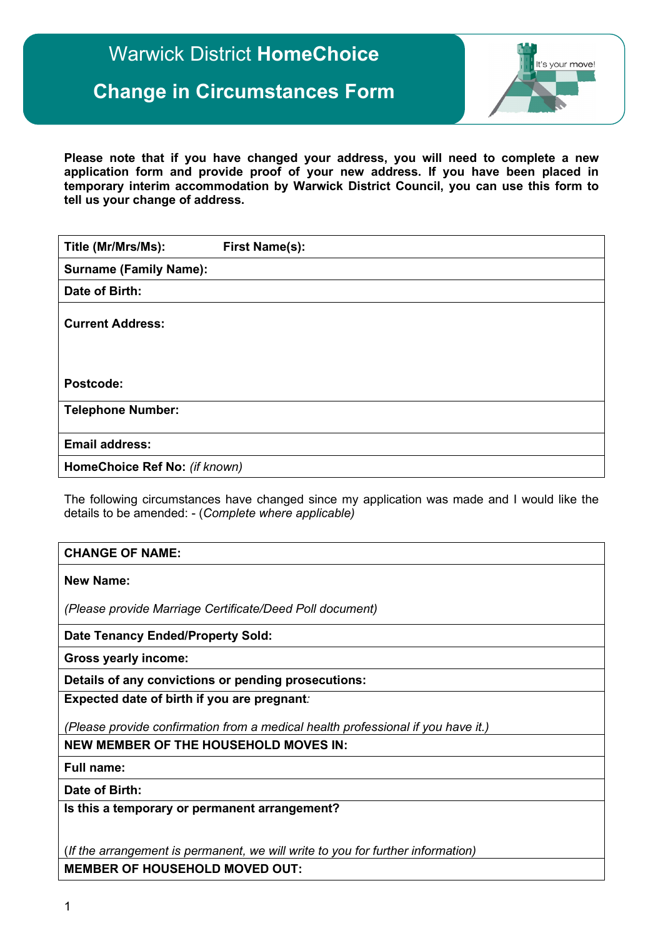# Warwick District **HomeChoice**

## **Change in Circumstances Form**



**Please note that if you have changed your address, you will need to complete a new application form and provide proof of your new address. If you have been placed in temporary interim accommodation by Warwick District Council, you can use this form to tell us your change of address.**

| Title (Mr/Mrs/Ms):            | <b>First Name(s):</b> |
|-------------------------------|-----------------------|
| <b>Surname (Family Name):</b> |                       |
| Date of Birth:                |                       |
| <b>Current Address:</b>       |                       |
| Postcode:                     |                       |
| <b>Telephone Number:</b>      |                       |
| <b>Email address:</b>         |                       |
| HomeChoice Ref No: (if known) |                       |

The following circumstances have changed since my application was made and I would like the details to be amended: - (*Complete where applicable)*

#### **CHANGE OF NAME:**

**New Name:**

*(Please provide Marriage Certificate/Deed Poll document)*

**Date Tenancy Ended/Property Sold:**

**Gross yearly income:** 

**Details of any convictions or pending prosecutions:**

**Expected date of birth if you are pregnant***:*

*(Please provide confirmation from a medical health professional if you have it.)*

**NEW MEMBER OF THE HOUSEHOLD MOVES IN:**

**Full name:**

**Date of Birth:**

**Is this a temporary or permanent arrangement?**

(*If the arrangement is permanent, we will write to you for further information)* **MEMBER OF HOUSEHOLD MOVED OUT:**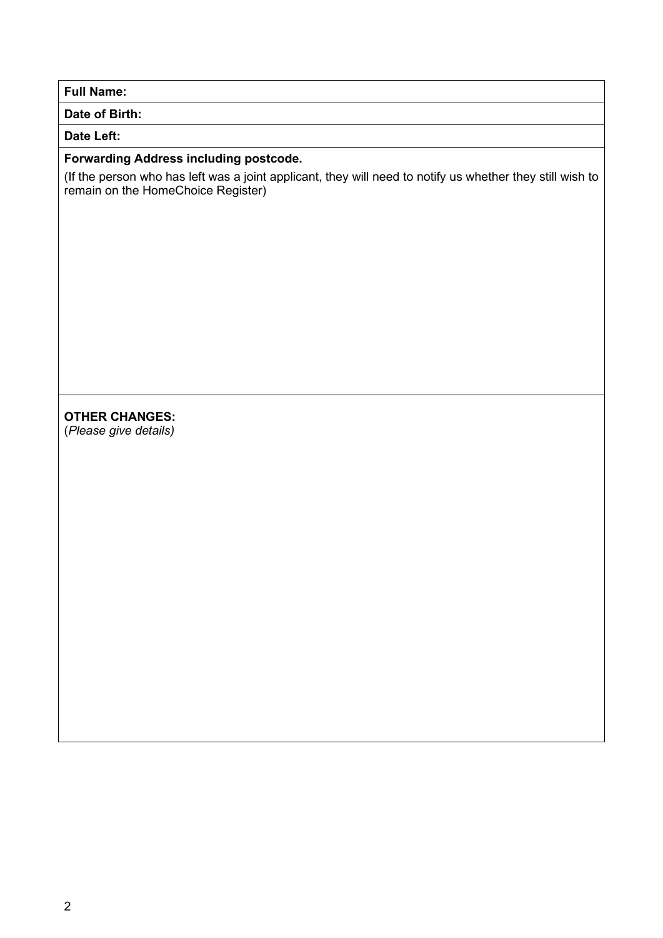**Full Name:**

**Date of Birth:**

#### **Date Left:**

## **Forwarding Address including postcode.**

(If the person who has left was a joint applicant, they will need to notify us whether they still wish to remain on the HomeChoice Register)

## **OTHER CHANGES:**

(*Please give details)*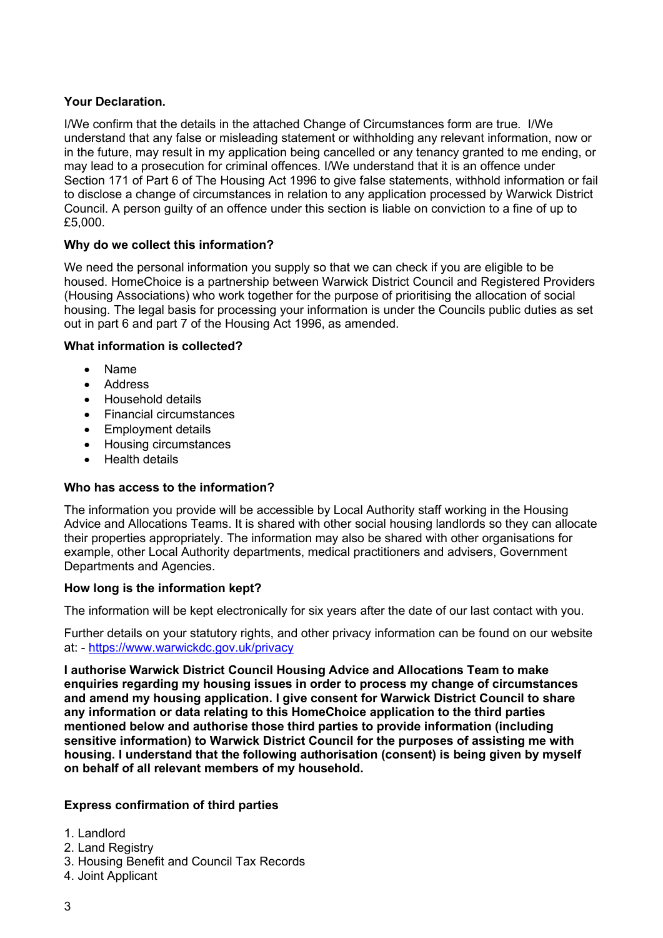#### **Your Declaration.**

I/We confirm that the details in the attached Change of Circumstances form are true. I/We understand that any false or misleading statement or withholding any relevant information, now or in the future, may result in my application being cancelled or any tenancy granted to me ending, or may lead to a prosecution for criminal offences. I/We understand that it is an offence under Section 171 of Part 6 of The Housing Act 1996 to give false statements, withhold information or fail to disclose a change of circumstances in relation to any application processed by Warwick District Council. A person guilty of an offence under this section is liable on conviction to a fine of up to £5,000.

#### **Why do we collect this information?**

We need the personal information you supply so that we can check if you are eligible to be housed. HomeChoice is a partnership between Warwick District Council and Registered Providers (Housing Associations) who work together for the purpose of prioritising the allocation of social housing. The legal basis for processing your information is under the Councils public duties as set out in part 6 and part 7 of the Housing Act 1996, as amended.

#### **What information is collected?**

- Name
- Address
- Household details
- Financial circumstances
- Employment details
- Housing circumstances
- Health details

## **Who has access to the information?**

The information you provide will be accessible by Local Authority staff working in the Housing Advice and Allocations Teams. It is shared with other social housing landlords so they can allocate their properties appropriately. The information may also be shared with other organisations for example, other Local Authority departments, medical practitioners and advisers, Government Departments and Agencies.

#### **How long is the information kept?**

The information will be kept electronically for six years after the date of our last contact with you.

Further details on your statutory rights, and other privacy information can be found on our website at: - <https://www.warwickdc.gov.uk/privacy>

**I authorise Warwick District Council Housing Advice and Allocations Team to make enquiries regarding my housing issues in order to process my change of circumstances and amend my housing application. I give consent for Warwick District Council to share any information or data relating to this HomeChoice application to the third parties mentioned below and authorise those third parties to provide information (including sensitive information) to Warwick District Council for the purposes of assisting me with housing. I understand that the following authorisation (consent) is being given by myself on behalf of all relevant members of my household.**

#### **Express confirmation of third parties**

- 1. Landlord
- 2. Land Registry
- 3. Housing Benefit and Council Tax Records
- 4. Joint Applicant